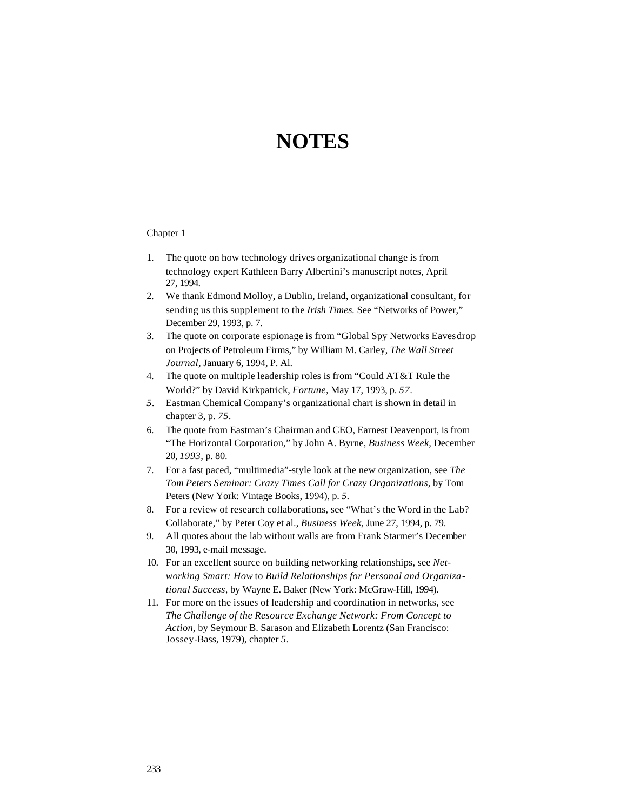# **NOTES**

- 1. The quote on how technology drives organizational change is from technology expert Kathleen Barry Albertini's manuscript notes, April 27, 1994.
- 2. We thank Edmond Molloy, a Dublin, Ireland, organizational consultant, for sending us this supplement to the *Irish Times.* See "Networks of Power," December 29, 1993, p. 7.
- 3. The quote on corporate espionage is from "Global Spy Networks Eavesdrop on Projects of Petroleum Firms," by William M. Carley, *The Wall Street Journal,* January 6, 1994, P. Al.
- 4. The quote on multiple leadership roles is from "Could AT&T Rule the World?" by David Kirkpatrick, *Fortune,* May 17, 1993, p. *57.*
- *5.* Eastman Chemical Company's organizational chart is shown in detail in chapter 3, p. *75.*
- 6. The quote from Eastman's Chairman and CEO, Earnest Deavenport, is from "The Horizontal Corporation," by John A. Byrne, *Business Week,* December 20, *1993,* p. 80.
- 7. For a fast paced, "multimedia"-style look at the new organization, see *The Tom Peters Seminar: Crazy Times Call for Crazy Organizations,* by Tom Peters (New York: Vintage Books, 1994), p. *5.*
- 8. For a review of research collaborations, see "What's the Word in the Lab? Collaborate," by Peter Coy et al., *Business Week,* June 27, 1994, p. 79.
- 9. All quotes about the lab without walls are from Frank Starmer's December 30, 1993, e-mail message.
- 10. For an excellent source on building networking relationships, see *Networking Smart: How* to *Build Relationships for Personal and Organizational Success,* by Wayne E. Baker (New York: McGraw-Hill, 1994).
- 11. For more on the issues of leadership and coordination in networks, see *The Challenge of the Resource Exchange Network: From Concept to Action,* by Seymour B. Sarason and Elizabeth Lorentz (San Francisco: Jossey-Bass, 1979), chapter *5.*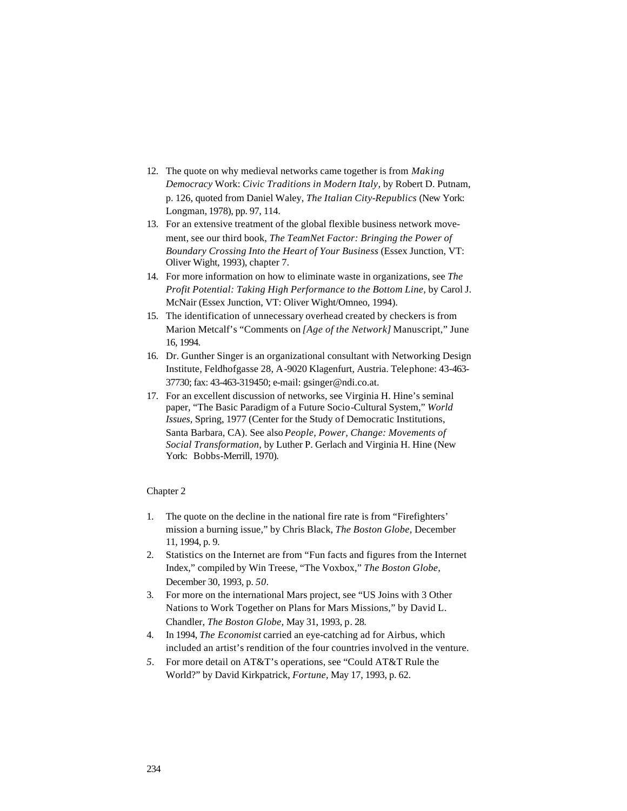- 12. The quote on why medieval networks came together is from *Making Democracy* Work: *Civic Traditions in Modern Italy,* by Robert D. Putnam, p. 126, quoted from Daniel Waley, *The Italian City-Republics* (New York: Longman, 1978), pp. 97, 114.
- 13. For an extensive treatment of the global flexible business network movement, see our third book, *The TeamNet Factor: Bringing the Power of Boundary Crossing Into the Heart of Your Business* (Essex Junction, VT: Oliver Wight, 1993), chapter 7.
- 14. For more information on how to eliminate waste in organizations, see *The Profit Potential: Taking High Performance to the Bottom Line,* by Carol J. McNair (Essex Junction, VT: Oliver Wight/Omneo, 1994).
- 15. The identification of unnecessary overhead created by checkers is from Marion Metcalf's "Comments on *[Age of the Network]* Manuscript," June 16, 1994.
- 16. Dr. Gunther Singer is an organizational consultant with Networking Design Institute, Feldhofgasse 28, A-9020 Klagenfurt, Austria. Telephone: 43-463- 37730; fax: 43-463-319450; e-mail: gsinger@ndi.co.at.
- 17. For an excellent discussion of networks, see Virginia H. Hine's seminal paper, "The Basic Paradigm of a Future Socio-Cultural System," *World Issues,* Spring, 1977 (Center for the Study of Democratic Institutions, Santa Barbara, CA). See also *People, Power, Change: Movements of Social Transformation,* by Luther P. Gerlach and Virginia H. Hine (New York: Bobbs-Merrill, 1970).

- 1. The quote on the decline in the national fire rate is from "Firefighters' mission a burning issue," by Chris Black, *The Boston Globe,* December 11, 1994, p. 9.
- 2. Statistics on the Internet are from "Fun facts and figures from the Internet Index," compiled by Win Treese, "The Voxbox," *The Boston Globe,*  December 30, 1993, p. *50.*
- 3. For more on the international Mars project, see "US Joins with 3 Other Nations to Work Together on Plans for Mars Missions," by David L. Chandler, *The Boston Globe,* May 31, 1993, p. 28.
- 4. In 1994, *The Economist* carried an eye-catching ad for Airbus, which included an artist's rendition of the four countries involved in the venture.
- *5.* For more detail on AT&T's operations, see "Could AT&T Rule the World?" by David Kirkpatrick, *Fortune,* May 17, 1993, p. 62.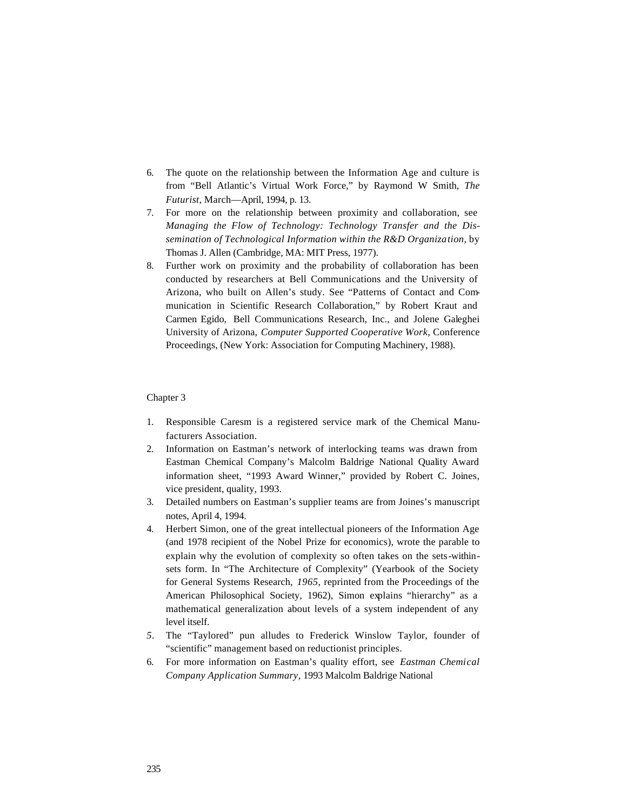- 6. The quote on the relationship between the Information Age and culture is from "Bell Atlantic's Virtual Work Force," by Raymond W Smith, *The Futurist,* March—April, 1994, p. 13.
- 7. For more on the relationship between proximity and collaboration, see *Managing the Flow of Technology: Technology Transfer and the Dissemination of Technological Information within the R&D Organization,* by Thomas J. Allen (Cambridge, MA: MIT Press, 1977).
- 8. Further work on proximity and the probability of collaboration has been conducted by researchers at Bell Communications and the University of Arizona, who built on Allen's study. See "Patterns of Contact and Communication in Scientific Research Collaboration," by Robert Kraut and Carmen Egido, Bell Communications Research, Inc., and Jolene Galeghei University of Arizona, *Computer Supported Cooperative Work,* Conference Proceedings, (New York: Association for Computing Machinery, 1988).

- 1. Responsible Caresm is a registered service mark of the Chemical Manufacturers Association.
- 2. Information on Eastman's network of interlocking teams was drawn from Eastman Chemical Company's Malcolm Baldrige National Quality Award information sheet, "1993 Award Winner," provided by Robert C. Joines, vice president, quality, 1993.
- 3. Detailed numbers on Eastman's supplier teams are from Joines's manuscript notes, April 4, 1994.
- 4. Herbert Simon, one of the great intellectual pioneers of the Information Age (and 1978 recipient of the Nobel Prize for economics), wrote the parable to explain why the evolution of complexity so often takes on the sets-withinsets form. In "The Architecture of Complexity" (Yearbook of the Society for General Systems Research, *1965,* reprinted from the Proceedings of the American Philosophical Society, 1962), Simon explains "hierarchy" as a mathematical generalization about levels of a system independent of any level itself.
- *5.* The "Taylored" pun alludes to Frederick Winslow Taylor, founder of "scientific" management based on reductionist principles.
- 6. For more information on Eastman's quality effort, see *Eastman Chemical Company Application Summary,* 1993 Malcolm Baldrige National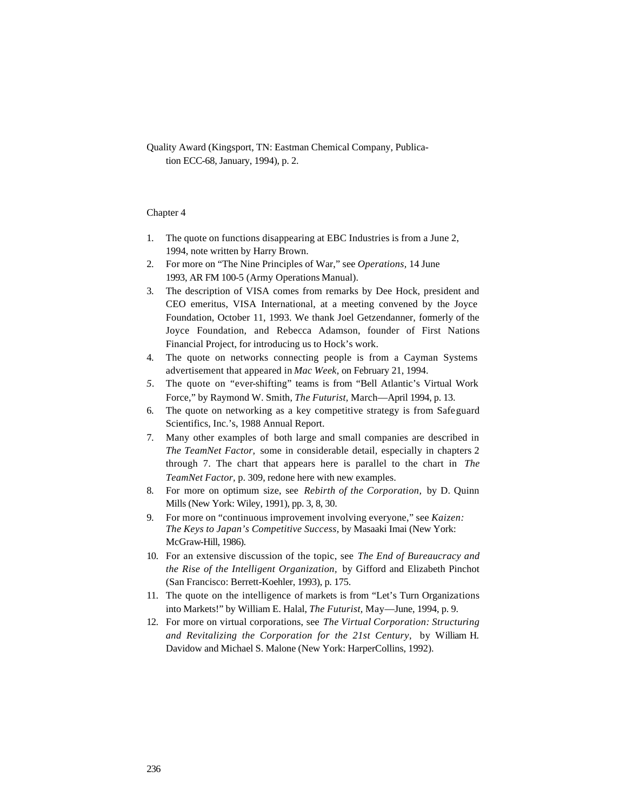Quality Award (Kingsport, TN: Eastman Chemical Company, Publication ECC-68, January, 1994), p. 2.

- 1. The quote on functions disappearing at EBC Industries is from a June 2, 1994, note written by Harry Brown.
- 2. For more on "The Nine Principles of War," see *Operations,* 14 June 1993, AR FM 100-5 (Army Operations Manual).
- 3. The description of VISA comes from remarks by Dee Hock, president and CEO emeritus, VISA International, at a meeting convened by the Joyce Foundation, October 11, 1993. We thank Joel Getzendanner, formerly of the Joyce Foundation, and Rebecca Adamson, founder of First Nations Financial Project, for introducing us to Hock's work.
- 4. The quote on networks connecting people is from a Cayman Systems advertisement that appeared in *Mac Week,* on February 21, 1994.
- *5.* The quote on "ever-shifting" teams is from "Bell Atlantic's Virtual Work Force," by Raymond W. Smith, *The Futurist,* March—April 1994, p. 13.
- 6. The quote on networking as a key competitive strategy is from Safeguard Scientifics, Inc.'s, 1988 Annual Report.
- 7. Many other examples of both large and small companies are described in *The TeamNet Factor,* some in considerable detail, especially in chapters 2 through 7. The chart that appears here is parallel to the chart in *The TeamNet Factor,* p. 309, redone here with new examples.
- 8. For more on optimum size, see *Rebirth of the Corporation,* by D. Quinn Mills (New York: Wiley, 1991), pp. 3, 8, 30.
- 9. For more on "continuous improvement involving everyone," see *Kaizen: The Keys to Japan's Competitive Success,* by Masaaki Imai (New York: McGraw-Hill, 1986).
- 10. For an extensive discussion of the topic, see *The End of Bureaucracy and the Rise of the Intelligent Organization,* by Gifford and Elizabeth Pinchot (San Francisco: Berrett-Koehler, 1993), p. 175.
- 11. The quote on the intelligence of markets is from "Let's Turn Organizations into Markets!" by William E. Halal, *The Futurist,* May—June, 1994, p. 9.
- 12. For more on virtual corporations, see *The Virtual Corporation: Structuring and Revitalizing the Corporation for the 21st Century,* by William H. Davidow and Michael S. Malone (New York: HarperCollins, 1992).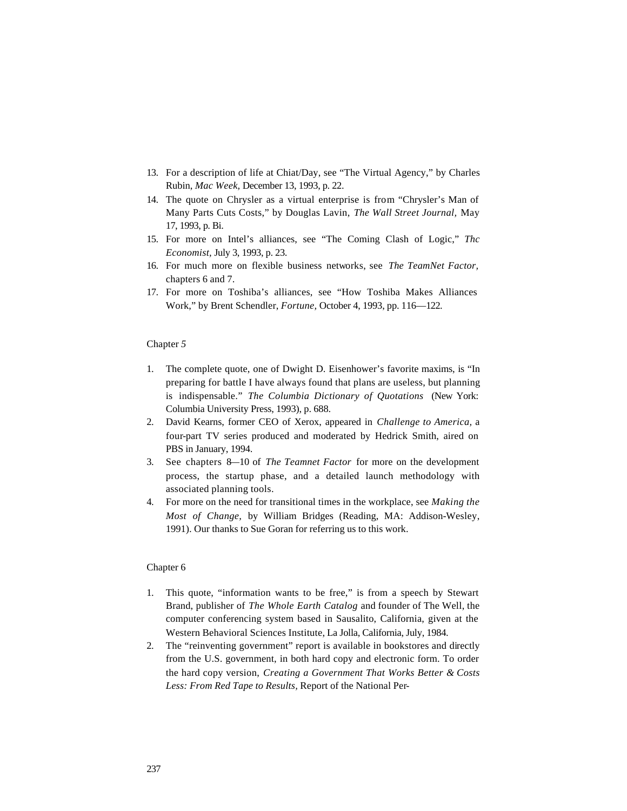- 13. For a description of life at Chiat/Day, see "The Virtual Agency," by Charles Rubin, *Mac Week,* December 13, 1993, p. 22.
- 14. The quote on Chrysler as a virtual enterprise is from "Chrysler's Man of Many Parts Cuts Costs," by Douglas Lavin, *The Wall Street Journal,* May 17, 1993, p. Bi.
- 15. For more on Intel's alliances, see "The Coming Clash of Logic," *Thc Economist,* July 3, 1993, p. 23.
- 16. For much more on flexible business networks, see *The TeamNet Factor,*  chapters 6 and 7.
- 17. For more on Toshiba's alliances, see "How Toshiba Makes Alliances Work," by Brent Schendler, *Fortune,* October 4, 1993, pp. 116—122.

- 1. The complete quote, one of Dwight D. Eisenhower's favorite maxims, is "In preparing for battle I have always found that plans are useless, but planning is indispensable." *The Columbia Dictionary of Quotations* (New York: Columbia University Press, 1993), p. 688.
- 2. David Kearns, former CEO of Xerox, appeared in *Challenge to America,* a four-part TV series produced and moderated by Hedrick Smith, aired on PBS in January, 1994.
- 3. See chapters 8—10 of *The Teamnet Factor* for more on the development process, the startup phase, and a detailed launch methodology with associated planning tools.
- 4. For more on the need for transitional times in the workplace, see *Making the Most of Change,* by William Bridges (Reading, MA: Addison-Wesley, 1991). Our thanks to Sue Goran for referring us to this work.

- 1. This quote, "information wants to be free," is from a speech by Stewart Brand, publisher of *The Whole Earth Catalog* and founder of The Well, the computer conferencing system based in Sausalito, California, given at the Western Behavioral Sciences Institute, La Jolla, California, July, 1984.
- 2. The "reinventing government" report is available in bookstores and directly from the U.S. government, in both hard copy and electronic form. To order the hard copy version, *Creating a Government That Works Better & Costs Less: From Red Tape to Results,* Report of the National Per-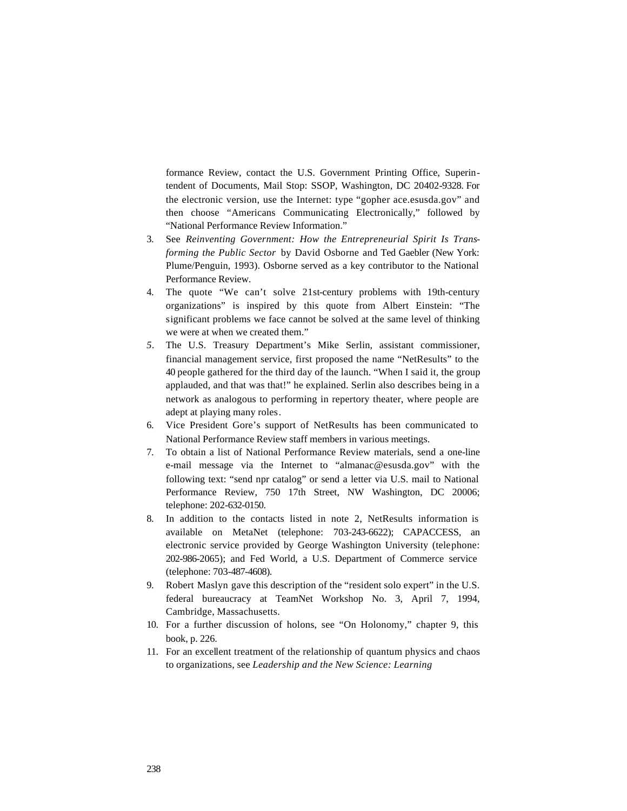formance Review, contact the U.S. Government Printing Office, Superintendent of Documents, Mail Stop: SSOP, Washington, DC 20402-9328. For the electronic version, use the Internet: type "gopher ace.esusda.gov" and then choose "Americans Communicating Electronically," followed by "National Performance Review Information."

- 3. See *Reinventing Government: How the Entrepreneurial Spirit Is Transforming the Public Sector* by David Osborne and Ted Gaebler (New York: Plume/Penguin, 1993). Osborne served as a key contributor to the National Performance Review.
- 4. The quote "We can't solve 21st-century problems with 19th-century organizations" is inspired by this quote from Albert Einstein: "The significant problems we face cannot be solved at the same level of thinking we were at when we created them."
- *5.* The U.S. Treasury Department's Mike Serlin, assistant commissioner, financial management service, first proposed the name "NetResults" to the 40 people gathered for the third day of the launch. "When I said it, the group applauded, and that was that!" he explained. Serlin also describes being in a network as analogous to performing in repertory theater, where people are adept at playing many roles.
- 6. Vice President Gore's support of NetResults has been communicated to National Performance Review staff members in various meetings.
- 7. To obtain a list of National Performance Review materials, send a one-line e-mail message via the Internet to "almanac@esusda.gov" with the following text: "send npr catalog" or send a letter via U.S. mail to National Performance Review, 750 17th Street, NW Washington, DC 20006; telephone: 202-632-0150.
- 8. In addition to the contacts listed in note 2, NetResults information is available on MetaNet (telephone: 703-243-6622); CAPACCESS, an electronic service provided by George Washington University (telephone: 202-986-2065); and Fed World, a U.S. Department of Commerce service (telephone: 703-487-4608).
- 9. Robert Maslyn gave this description of the "resident solo expert" in the U.S. federal bureaucracy at TeamNet Workshop No. 3, April 7, 1994, Cambridge, Massachusetts.
- 10. For a further discussion of holons, see "On Holonomy," chapter 9, this book, p. 226.
- 11. For an excellent treatment of the relationship of quantum physics and chaos to organizations, see *Leadership and the New Science: Learning*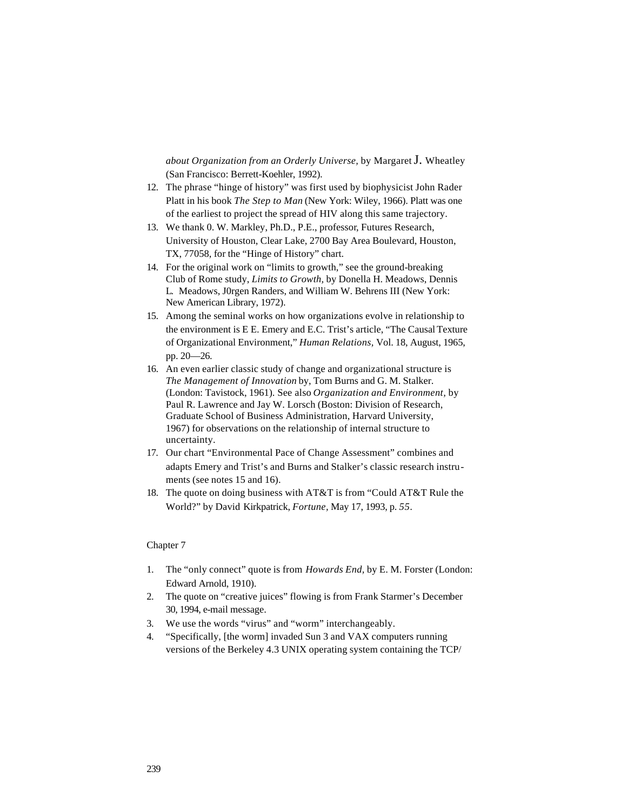*about Organization from an Orderly Universe,* by Margaret J. Wheatley (San Francisco: Berrett-Koehler, 1992).

- 12. The phrase "hinge of history" was first used by biophysicist John Rader Platt in his book *The Step to Man* (New York: Wiley, 1966). Platt was one of the earliest to project the spread of HIV along this same trajectory.
- 13. We thank 0. W. Markley, Ph.D., P.E., professor, Futures Research, University of Houston, Clear Lake, 2700 Bay Area Boulevard, Houston, TX, 77058, for the "Hinge of History" chart.
- 14. For the original work on "limits to growth," see the ground-breaking Club of Rome study, *Limits to Growth,* by Donella H. Meadows, Dennis L. Meadows, J0rgen Randers, and William W. Behrens III (New York: New American Library, 1972).
- 15. Among the seminal works on how organizations evolve in relationship to the environment is E E. Emery and E.C. Trist's article, "The Causal Texture of Organizational Environment," *Human Relations,* Vol. 18, August, 1965, pp. 20—26.
- 16. An even earlier classic study of change and organizational structure is *The Management of Innovation* by, Tom Burns and G. M. Stalker. (London: Tavistock, 1961). See also *Organization and Environment,* by Paul R. Lawrence and Jay W. Lorsch (Boston: Division of Research, Graduate School of Business Administration, Harvard University, 1967) for observations on the relationship of internal structure to uncertainty.
- 17. Our chart "Environmental Pace of Change Assessment" combines and adapts Emery and Trist's and Burns and Stalker's classic research instruments (see notes 15 and 16).
- 18. The quote on doing business with AT&T is from "Could AT&T Rule the World?" by David Kirkpatrick, *Fortune,* May 17, 1993, p. *55.*

- 1. The "only connect" quote is from *Howards End,* by E. M. Forster (London: Edward Arnold, 1910).
- 2. The quote on "creative juices" flowing is from Frank Starmer's December 30, 1994, e-mail message.
- 3. We use the words "virus" and "worm" interchangeably.
- 4. "Specifically, [the worm] invaded Sun 3 and VAX computers running versions of the Berkeley 4.3 UNIX operating system containing the TCP/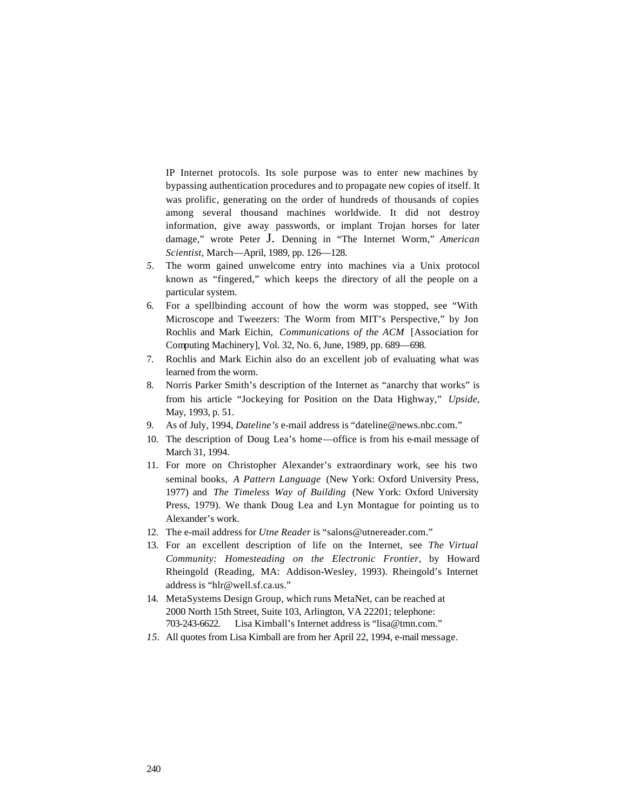IP Internet protocols. Its sole purpose was to enter new machines by bypassing authentication procedures and to propagate new copies of itself. It was prolific, generating on the order of hundreds of thousands of copies among several thousand machines worldwide. It did not destroy information, give away passwords, or implant Trojan horses for later damage," wrote Peter J. Denning in "The Internet Worm," *American Scientist,* March—April, 1989, pp. 126—128.

- *5.* The worm gained unwelcome entry into machines via a Unix protocol known as "fingered," which keeps the directory of all the people on a particular system.
- 6. For a spellbinding account of how the worm was stopped, see "With Microscope and Tweezers: The Worm from MIT's Perspective," by Jon Rochlis and Mark Eichin, *Communications of the ACM* [Association for Computing Machinery], Vol. 32, No. 6, June, 1989, pp. 689—698.
- 7. Rochlis and Mark Eichin also do an excellent job of evaluating what was learned from the worm.
- 8. Norris Parker Smith's description of the Internet as "anarchy that works" is from his article "Jockeying for Position on the Data Highway," *Upside,*  May, 1993, p. 51.
- 9. As of July, 1994, *Dateline's* e-mail address is "dateline@news.nbc.com."
- 10. The description of Doug Lea's home—office is from his e-mail message of March 31, 1994.
- 11. For more on Christopher Alexander's extraordinary work, see his two seminal books, *A Pattern Language* (New York: Oxford University Press, 1977) and *The Timeless Way of Building* (New York: Oxford University Press, 1979). We thank Doug Lea and Lyn Montague for pointing us to Alexander's work.
- 12. The e-mail address for *Utne Reader* is "salons@utnereader.com."
- 13. For an excellent description of life on the Internet, see *The Virtual Community: Homesteading on the Electronic Frontier,* by Howard Rheingold (Reading, MA: Addison-Wesley, 1993). Rheingold's Internet address is "hlr@well.sf.ca.us."
- 14. MetaSystems Design Group, which runs MetaNet, can be reached at 2000 North 15th Street, Suite 103, Arlington, VA 22201; telephone: 703-243-6622. Lisa Kimball's Internet address is "lisa@tmn.com."
- *15.* All quotes from Lisa Kimball are from her April 22, 1994, e-mail message.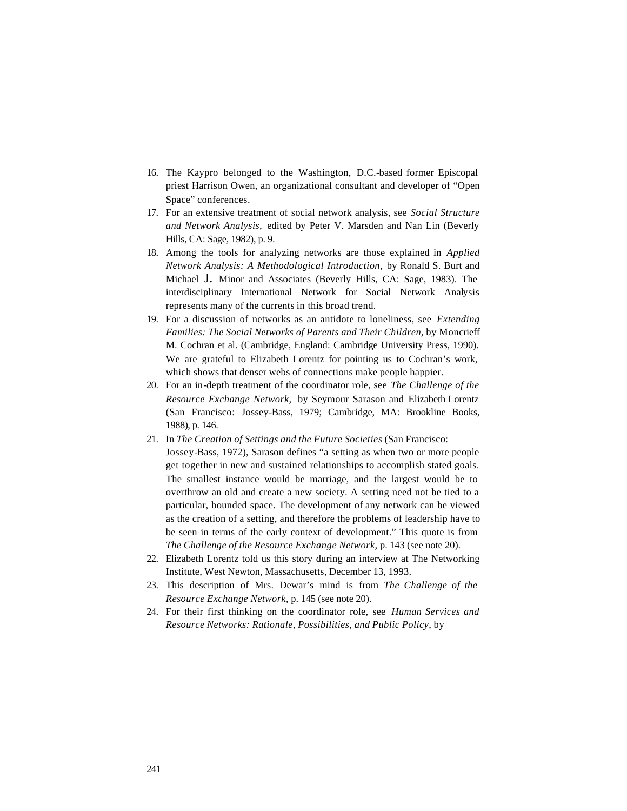- 16. The Kaypro belonged to the Washington, D.C.-based former Episcopal priest Harrison Owen, an organizational consultant and developer of "Open Space" conferences.
- 17. For an extensive treatment of social network analysis, see *Social Structure and Network Analysis,* edited by Peter V. Marsden and Nan Lin (Beverly Hills, CA: Sage, 1982), p. 9.
- 18. Among the tools for analyzing networks are those explained in *Applied Network Analysis: A Methodological Introduction,* by Ronald S. Burt and Michael J. Minor and Associates (Beverly Hills, CA: Sage, 1983). The interdisciplinary International Network for Social Network Analysis represents many of the currents in this broad trend.
- 19. For a discussion of networks as an antidote to loneliness, see *Extending Families: The Social Networks of Parents and Their Children,* by Moncrieff M. Cochran et al. (Cambridge, England: Cambridge University Press, 1990). We are grateful to Elizabeth Lorentz for pointing us to Cochran's work, which shows that denser webs of connections make people happier.
- 20. For an in-depth treatment of the coordinator role, see *The Challenge of the Resource Exchange Network,* by Seymour Sarason and Elizabeth Lorentz (San Francisco: Jossey-Bass, 1979; Cambridge, MA: Brookline Books, 1988), p. 146.
- 21. In *The Creation of Settings and the Future Societies* (San Francisco: Jossey-Bass, 1972), Sarason defines "a setting as when two or more people get together in new and sustained relationships to accomplish stated goals. The smallest instance would be marriage, and the largest would be to overthrow an old and create a new society. A setting need not be tied to a particular, bounded space. The development of any network can be viewed as the creation of a setting, and therefore the problems of leadership have to be seen in terms of the early context of development." This quote is from *The Challenge of the Resource Exchange Network,* p. 143 (see note 20).
- 22. Elizabeth Lorentz told us this story during an interview at The Networking Institute, West Newton, Massachusetts, December 13, 1993.
- 23. This description of Mrs. Dewar's mind is from *The Challenge of the Resource Exchange Network,* p. 145 (see note 20).
- 24. For their first thinking on the coordinator role, see *Human Services and Resource Networks: Rationale, Possibilities, and Public Policy,* by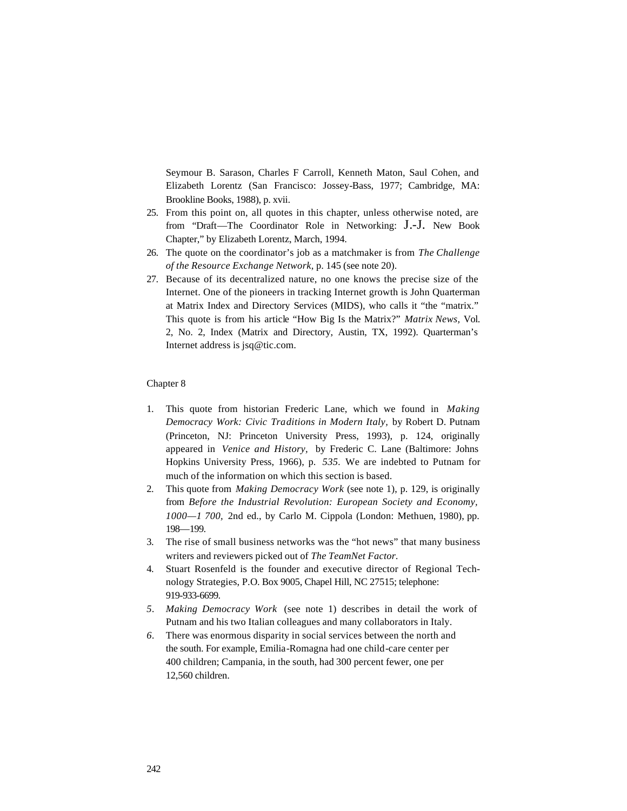Seymour B. Sarason, Charles F Carroll, Kenneth Maton, Saul Cohen, and Elizabeth Lorentz (San Francisco: Jossey-Bass, 1977; Cambridge, MA: Brookline Books, 1988), p. xvii.

- 25. From this point on, all quotes in this chapter, unless otherwise noted, are from "Draft—The Coordinator Role in Networking: J.-J. New Book Chapter," by Elizabeth Lorentz, March, 1994.
- 26. The quote on the coordinator's job as a matchmaker is from *The Challenge of the Resource Exchange Network,* p. 145 (see note 20).
- 27. Because of its decentralized nature, no one knows the precise size of the Internet. One of the pioneers in tracking Internet growth is John Quarterman at Matrix Index and Directory Services (MIDS), who calls it "the "matrix." This quote is from his article "How Big Is the Matrix?" *Matrix News,* Vol. 2, No. 2, Index (Matrix and Directory, Austin, TX, 1992). Quarterman's Internet address is jsq@tic.com.

- 1. This quote from historian Frederic Lane, which we found in *Making Democracy Work: Civic Traditions in Modern Italy,* by Robert D. Putnam (Princeton, NJ: Princeton University Press, 1993), p. 124, originally appeared in *Venice and History,* by Frederic C. Lane (Baltimore: Johns Hopkins University Press, 1966), p. *535.* We are indebted to Putnam for much of the information on which this section is based.
- 2. This quote from *Making Democracy Work* (see note 1), p. 129, is originally from *Before the Industrial Revolution: European Society and Economy, 1000—1 700,* 2nd ed., by Carlo M. Cippola (London: Methuen, 1980), pp. 198—199.
- 3. The rise of small business networks was the "hot news" that many business writers and reviewers picked out of *The TeamNet Factor.*
- 4. Stuart Rosenfeld is the founder and executive director of Regional Technology Strategies, P.O. Box 9005, Chapel Hill, NC 27515; telephone: 919-933-6699.
- *5. Making Democracy Work* (see note 1) describes in detail the work of Putnam and his two Italian colleagues and many collaborators in Italy.
- *6.* There was enormous disparity in social services between the north and the south. For example, Emilia-Romagna had one child-care center per 400 children; Campania, in the south, had 300 percent fewer, one per 12,560 children.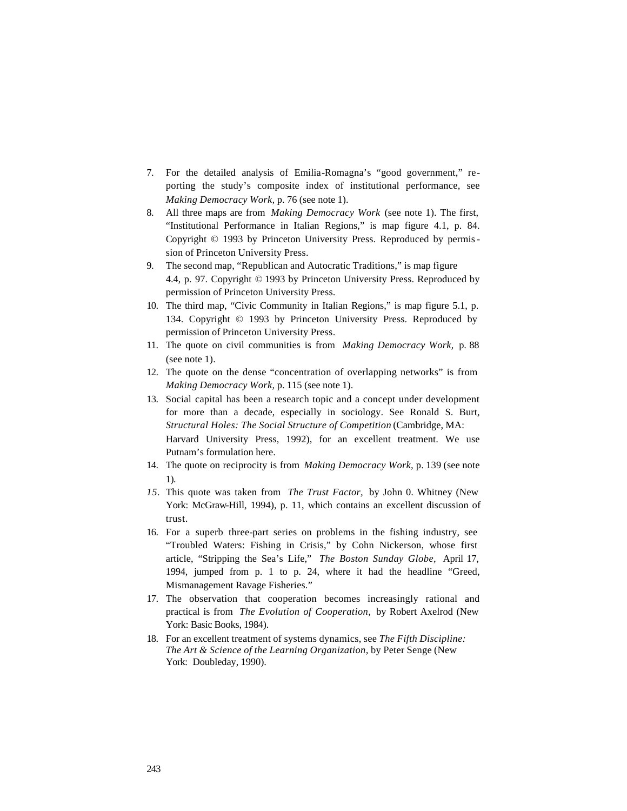- 7. For the detailed analysis of Emilia-Romagna's "good government," reporting the study's composite index of institutional performance, see *Making Democracy Work,* p. 76 (see note 1).
- 8. All three maps are from *Making Democracy Work* (see note 1). The first, "Institutional Performance in Italian Regions," is map figure 4.1, p. 84. Copyright © 1993 by Princeton University Press. Reproduced by permission of Princeton University Press.
- 9. The second map, "Republican and Autocratic Traditions," is map figure 4.4, p. 97. Copyright © 1993 by Princeton University Press. Reproduced by permission of Princeton University Press.
- 10. The third map, "Civic Community in Italian Regions," is map figure 5.1, p. 134. Copyright © 1993 by Princeton University Press. Reproduced by permission of Princeton University Press.
- 11. The quote on civil communities is from *Making Democracy Work,* p. 88 (see note 1).
- 12. The quote on the dense "concentration of overlapping networks" is from *Making Democracy Work,* p. 115 (see note 1).
- 13. Social capital has been a research topic and a concept under development for more than a decade, especially in sociology. See Ronald S. Burt, *Structural Holes: The Social Structure of Competition* (Cambridge, MA: Harvard University Press, 1992), for an excellent treatment. We use Putnam's formulation here.
- 14. The quote on reciprocity is from *Making Democracy Work,* p. 139 (see note 1).
- *15.* This quote was taken from *The Trust Factor,* by John 0. Whitney (New York: McGraw-Hill, 1994), p. 11, which contains an excellent discussion of trust.
- 16. For a superb three-part series on problems in the fishing industry, see "Troubled Waters: Fishing in Crisis," by Cohn Nickerson, whose first article, "Stripping the Sea's Life," *The Boston Sunday Globe,* April 17, 1994, jumped from p. 1 to p. 24, where it had the headline "Greed, Mismanagement Ravage Fisheries."
- 17. The observation that cooperation becomes increasingly rational and practical is from *The Evolution of Cooperation,* by Robert Axelrod (New York: Basic Books, 1984).
- 18. For an excellent treatment of systems dynamics, see *The Fifth Discipline: The Art & Science of the Learning Organization,* by Peter Senge (New York: Doubleday, 1990).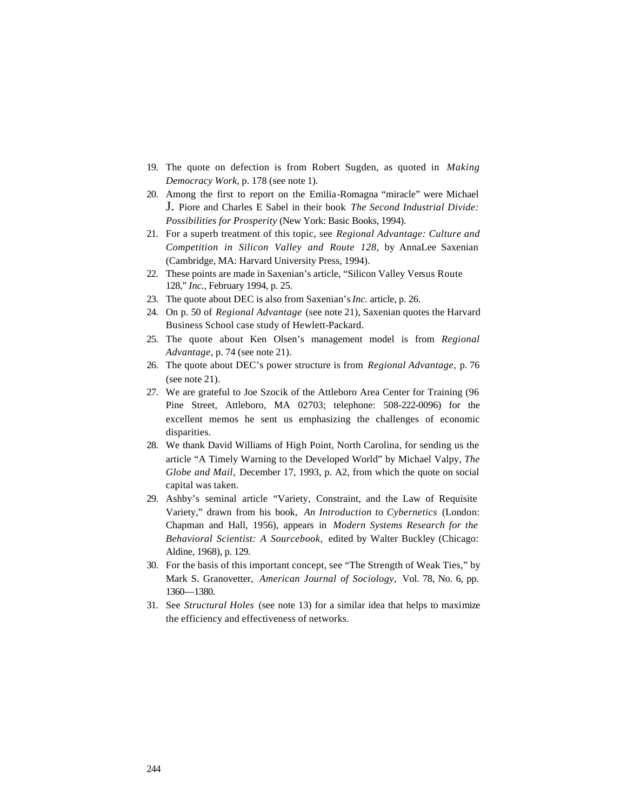- 19. The quote on defection is from Robert Sugden, as quoted in *Making Democracy Work,* p. 178 (see note 1).
- 20. Among the first to report on the Emilia-Romagna "miracle" were Michael J. Piore and Charles E Sabel in their book *The Second Industrial Divide: Possibilities for Prosperity* (New York: Basic Books, 1994).
- 21. For a superb treatment of this topic, see *Regional Advantage: Culture and Competition in Silicon Valley and Route 128,* by AnnaLee Saxenian (Cambridge, MA: Harvard University Press, 1994).
- 22. These points are made in Saxenian's article, "Silicon Valley Versus Route 128," *Inc.,* February 1994, p. 25.
- 23. The quote about DEC is also from Saxenian's *Inc.* article, p. 26.
- 24. On p. 50 of *Regional Advantage* (see note 21), Saxenian quotes the Harvard Business School case study of Hewlett-Packard.
- 25. The quote about Ken Olsen's management model is from *Regional Advantage,* p. 74 (see note 21).
- 26. The quote about DEC's power structure is from *Regional Advantage,* p. 76 (see note 21).
- 27. We are grateful to Joe Szocik of the Attleboro Area Center for Training (96 Pine Street, Attleboro, MA 02703; telephone: 508-222-0096) for the excellent memos he sent us emphasizing the challenges of economic disparities.
- 28. We thank David Williams of High Point, North Carolina, for sending us the article "A Timely Warning to the Developed World" by Michael Valpy, *The Globe and Mail,* December 17, 1993, p. A2, from which the quote on social capital was taken.
- 29. Ashby's seminal article "Variety, Constraint, and the Law of Requisite Variety," drawn from his book, *An Introduction to Cybernetics* (London: Chapman and Hall, 1956), appears in *Modern Systems Research for the Behavioral Scientist: A Sourcebook,* edited by Walter Buckley (Chicago: Aldine, 1968), p. 129.
- 30. For the basis of this important concept, see "The Strength of Weak Ties," by Mark S. Granovetter, *American Journal of Sociology,* Vol. 78, No. 6, pp. 1360—1380.
- 31. See *Structural Holes* (see note 13) for a similar idea that helps to maximize the efficiency and effectiveness of networks.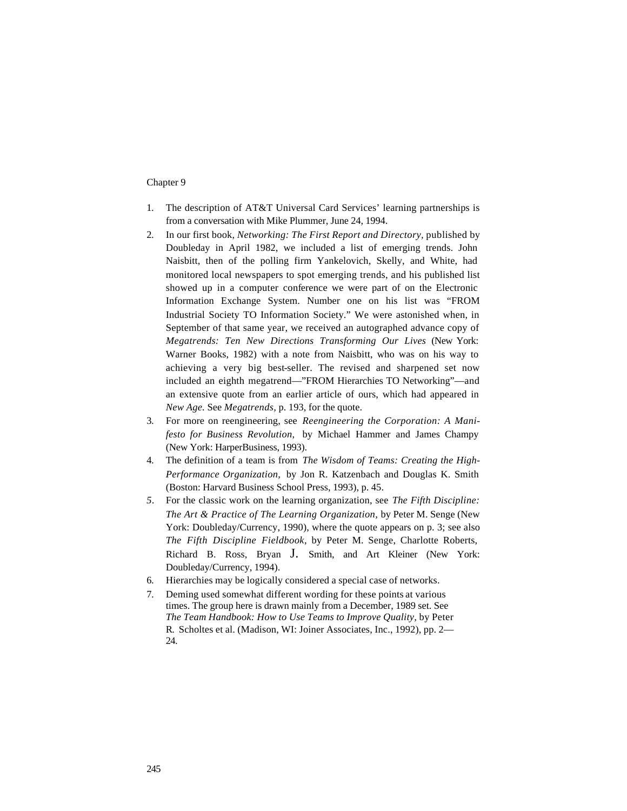- 1. The description of AT&T Universal Card Services' learning partnerships is from a conversation with Mike Plummer, June 24, 1994.
- 2. In our first book, *Networking: The First Report and Directory,* published by Doubleday in April 1982, we included a list of emerging trends. John Naisbitt, then of the polling firm Yankelovich, Skelly, and White, had monitored local newspapers to spot emerging trends, and his published list showed up in a computer conference we were part of on the Electronic Information Exchange System. Number one on his list was "FROM Industrial Society TO Information Society." We were astonished when, in September of that same year, we received an autographed advance copy of *Megatrends: Ten New Directions Transforming Our Lives* (New York: Warner Books, 1982) with a note from Naisbitt, who was on his way to achieving a very big best-seller. The revised and sharpened set now included an eighth megatrend—"FROM Hierarchies TO Networking"—and an extensive quote from an earlier article of ours, which had appeared in *New Age.* See *Megatrends,* p. 193, for the quote.
- 3. For more on reengineering, see *Reengineering the Corporation: A Manifesto for Business Revolution,* by Michael Hammer and James Champy (New York: HarperBusiness, 1993).
- 4. The definition of a team is from *The Wisdom of Teams: Creating the High-Performance Organization,* by Jon R. Katzenbach and Douglas K. Smith (Boston: Harvard Business School Press, 1993), p. 45.
- *5.* For the classic work on the learning organization, see *The Fifth Discipline: The Art & Practice of The Learning Organization,* by Peter M. Senge (New York: Doubleday/Currency, 1990), where the quote appears on p. 3; see also *The Fifth Discipline Fieldbook,* by Peter M. Senge, Charlotte Roberts, Richard B. Ross, Bryan J. Smith, and Art Kleiner (New York: Doubleday/Currency, 1994).
- 6. Hierarchies may be logically considered a special case of networks.
- 7. Deming used somewhat different wording for these points at various times. The group here is drawn mainly from a December, 1989 set. See *The Team Handbook: How to Use Teams to Improve Quality,* by Peter R. Scholtes et al. (Madison, WI: Joiner Associates, Inc., 1992), pp. 2— 24.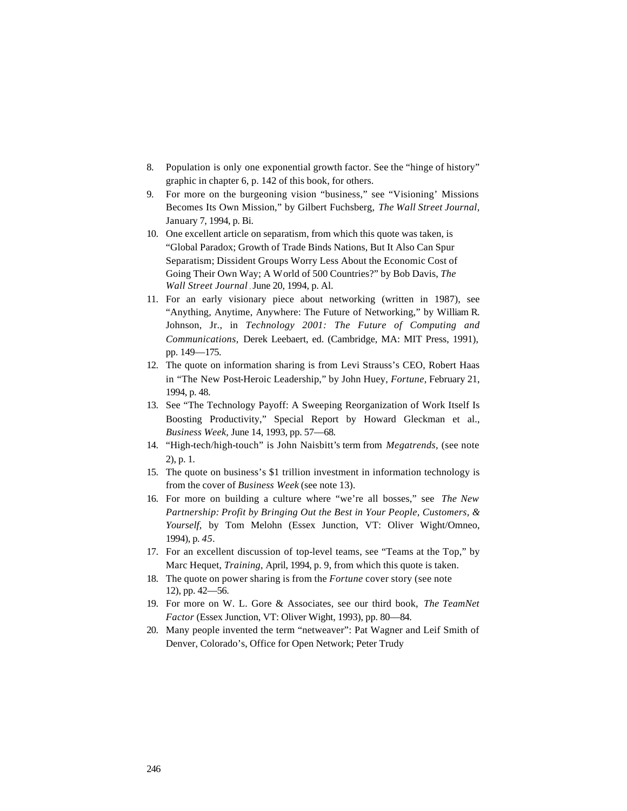- 8. Population is only one exponential growth factor. See the "hinge of history" graphic in chapter 6, p. 142 of this book, for others.
- 9. For more on the burgeoning vision "business," see "Visioning' Missions Becomes Its Own Mission," by Gilbert Fuchsberg, *The Wall Street Journal,*  January 7, 1994, p. Bi.
- 10. One excellent article on separatism, from which this quote was taken, is "Global Paradox; Growth of Trade Binds Nations, But It Also Can Spur Separatism; Dissident Groups Worry Less About the Economic Cost of Going Their Own Way; A World of 500 Countries?" by Bob Davis, *The Wall Street Journal* , June 20, 1994, p. Al.
- 11. For an early visionary piece about networking (written in 1987), see "Anything, Anytime, Anywhere: The Future of Networking," by William R. Johnson, Jr., in *Technology 2001: The Future of Computing and Communications,* Derek Leebaert, ed. (Cambridge, MA: MIT Press, 1991), pp. 149—175.
- 12. The quote on information sharing is from Levi Strauss's CEO, Robert Haas in "The New Post-Heroic Leadership," by John Huey, *Fortune,* February 21, 1994, p. 48.
- 13. See "The Technology Payoff: A Sweeping Reorganization of Work Itself Is Boosting Productivity," Special Report by Howard Gleckman et al., *Business Week,* June 14, 1993, pp. 57—68.
- 14. "High-tech/high-touch" is John Naisbitt's term from *Megatrends,* (see note 2), p. 1.
- 15. The quote on business's \$1 trillion investment in information technology is from the cover of *Business Week* (see note 13).
- 16. For more on building a culture where "we're all bosses," see *The New Partnership: Profit by Bringing Out the Best in Your People, Customers, & Yourself,* by Tom Melohn (Essex Junction, VT: Oliver Wight/Omneo, 1994), p. *45.*
- 17. For an excellent discussion of top-level teams, see "Teams at the Top," by Marc Hequet, *Training,* April, 1994, p. 9, from which this quote is taken.
- 18. The quote on power sharing is from the *Fortune* cover story (see note 12), pp. 42—56.
- 19. For more on W. L. Gore & Associates, see our third book, *The TeamNet Factor* (Essex Junction, VT: Oliver Wight, 1993), pp. 80—84.
- 20. Many people invented the term "netweaver": Pat Wagner and Leif Smith of Denver, Colorado's, Office for Open Network; Peter Trudy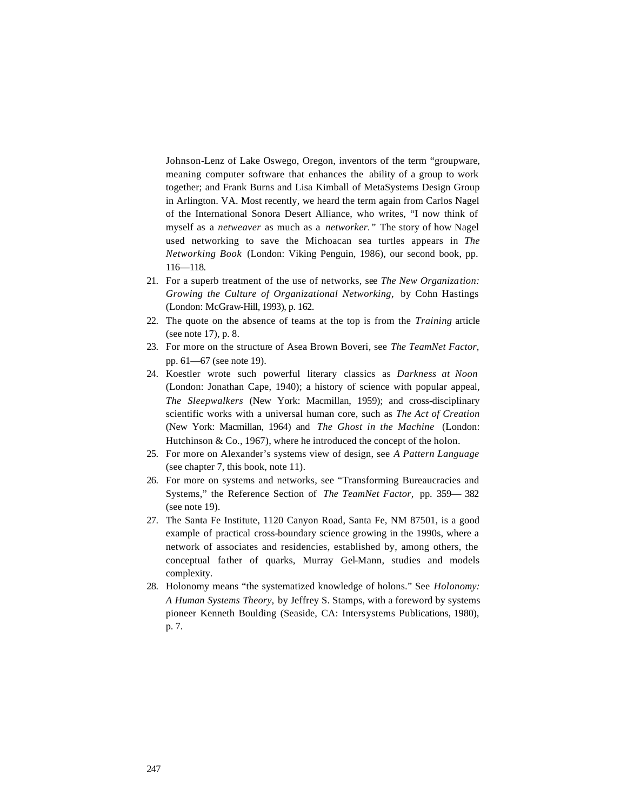Johnson-Lenz of Lake Oswego, Oregon, inventors of the term "groupware, meaning computer software that enhances the ability of a group to work together; and Frank Burns and Lisa Kimball of MetaSystems Design Group in Arlington. VA. Most recently, we heard the term again from Carlos Nagel of the International Sonora Desert Alliance, who writes, "I now think of myself as a *netweaver* as much as a *networker."* The story of how Nagel used networking to save the Michoacan sea turtles appears in *The Networking Book* (London: Viking Penguin, 1986), our second book, pp. 116—118.

- 21. For a superb treatment of the use of networks, see *The New Organization: Growing the Culture of Organizational Networking,* by Cohn Hastings (London: McGraw-Hill, 1993), p. 162.
- 22. The quote on the absence of teams at the top is from the *Training* article (see note 17), p. 8.
- 23. For more on the structure of Asea Brown Boveri, see *The TeamNet Factor,*  pp. 61—67 (see note 19).
- 24. Koestler wrote such powerful literary classics as *Darkness at Noon*  (London: Jonathan Cape, 1940); a history of science with popular appeal, *The Sleepwalkers* (New York: Macmillan, 1959); and cross-disciplinary scientific works with a universal human core, such as *The Act of Creation*  (New York: Macmillan, 1964) and *The Ghost in the Machine* (London: Hutchinson & Co., 1967), where he introduced the concept of the holon.
- 25. For more on Alexander's systems view of design, see *A Pattern Language*  (see chapter 7, this book, note 11).
- 26. For more on systems and networks, see "Transforming Bureaucracies and Systems," the Reference Section of *The TeamNet Factor,* pp. 359— 382 (see note 19).
- 27. The Santa Fe Institute, 1120 Canyon Road, Santa Fe, NM 87501, is a good example of practical cross-boundary science growing in the 1990s, where a network of associates and residencies, established by, among others, the conceptual father of quarks, Murray Gel-Mann, studies and models complexity.
- 28. Holonomy means "the systematized knowledge of holons." See *Holonomy: A Human Systems Theory,* by Jeffrey S. Stamps, with a foreword by systems pioneer Kenneth Boulding (Seaside, CA: Intersystems Publications, 1980), p. 7.